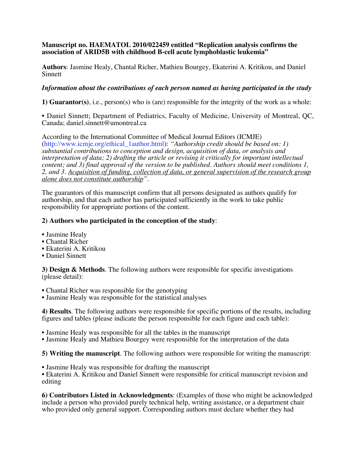## **Manuscript no. HAEMATOL 2010/022459 entitled "Replication analysis confirms the association of ARID5B with childhood B-cell acute lymphoblastic leukemia"**

**Authors**: Jasmine Healy, Chantal Richer, Mathieu Bourgey, Ekaterini A. Kritikou, and Daniel Sinnett

## *Information about the contributions of each person named as having participated in the study*

**1) Guarantor(s)**, i.e., person(s) who is (are) responsible for the integrity of the work as a whole:

• Daniel Sinnett; Department of Pediatrics, Faculty of Medicine, University of Montreal, QC, Canada; daniel.sinnett@umontreal.ca

According to the International Committee of Medical Journal Editors (ICMJE) (http://www.icmje.org/ethical\_1author.html): *"Authorship credit should be based on: 1) substantial contributions to conception and design, acquisition of data, or analysis and interpretation of data; 2) drafting the article or revising it critically for important intellectual content; and 3) final approval of the version to be published. Authors should meet conditions 1, 2, and 3. Acquisition of funding, collection of data, or general supervision of the research group alone does not constitute authorship".*

The guarantors of this manuscript confirm that all persons designated as authors qualify for authorship, and that each author has participated sufficiently in the work to take public responsibility for appropriate portions of the content.

## **2) Authors who participated in the conception of the study**:

- Jasmine Healy
- Chantal Richer
- Ekaterini A. Kritikou
- Daniel Sinnett

**3) Design & Methods**. The following authors were responsible for specific investigations (please detail):

- Chantal Richer was responsible for the genotyping
- Jasmine Healy was responsible for the statistical analyses

**4) Results**. The following authors were responsible for specific portions of the results, including figures and tables (please indicate the person responsible for each figure and each table):

- Jasmine Healy was responsible for all the tables in the manuscript
- Jasmine Healy and Mathieu Bourgey were responsible for the interpretation of the data

**5) Writing the manuscript**. The following authors were responsible for writing the manuscript:

• Jasmine Healy was responsible for drafting the manuscript

• Ekaterini A. Kritikou and Daniel Sinnett were responsible for critical manuscript revision and editing

**6) Contributors Listed in Acknowledgments**: (Examples of those who might be acknowledged include a person who provided purely technical help, writing assistance, or a department chair who provided only general support. Corresponding authors must declare whether they had